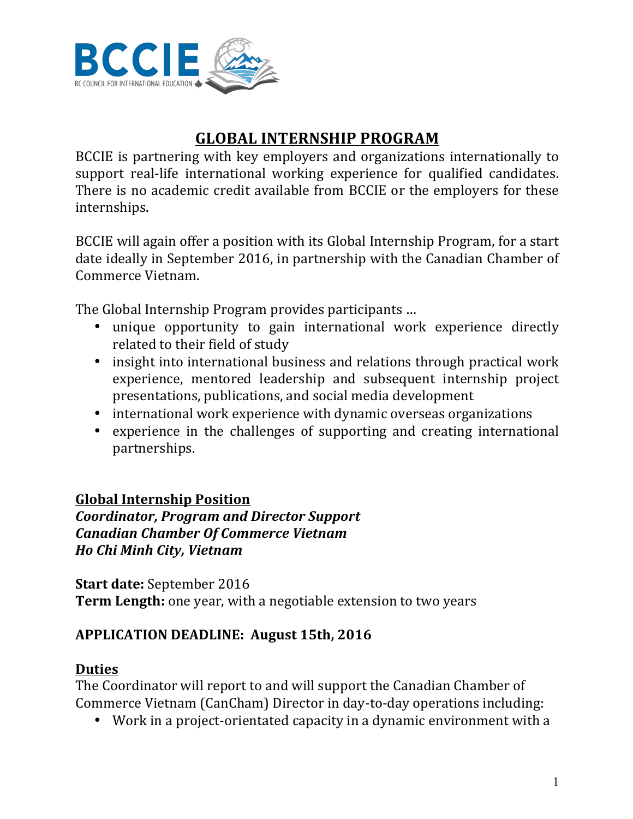

# **GLOBAL INTERNSHIP PROGRAM**

BCCIE is partnering with key employers and organizations internationally to support real-life international working experience for qualified candidates. There is no academic credit available from BCCIE or the employers for these internships.

BCCIE will again offer a position with its Global Internship Program, for a start date ideally in September 2016, in partnership with the Canadian Chamber of Commerce Vietnam. 

The Global Internship Program provides participants ...

- unique opportunity to gain international work experience directly related to their field of study
- insight into international business and relations through practical work experience, mentored leadership and subsequent internship project presentations, publications, and social media development
- international work experience with dynamic overseas organizations
- experience in the challenges of supporting and creating international partnerships.

## **Global Internship Position**

*Coordinator, Program and Director Support Canadian Chamber Of Commerce Vietnam Ho Chi Minh City, Vietnam*

**Start date:** September 2016 **Term Length:** one year, with a negotiable extension to two years

## **APPLICATION DEADLINE: August 15th, 2016**

#### **Duties**

The Coordinator will report to and will support the Canadian Chamber of Commerce Vietnam (CanCham) Director in day-to-day operations including:

• Work in a project-orientated capacity in a dynamic environment with a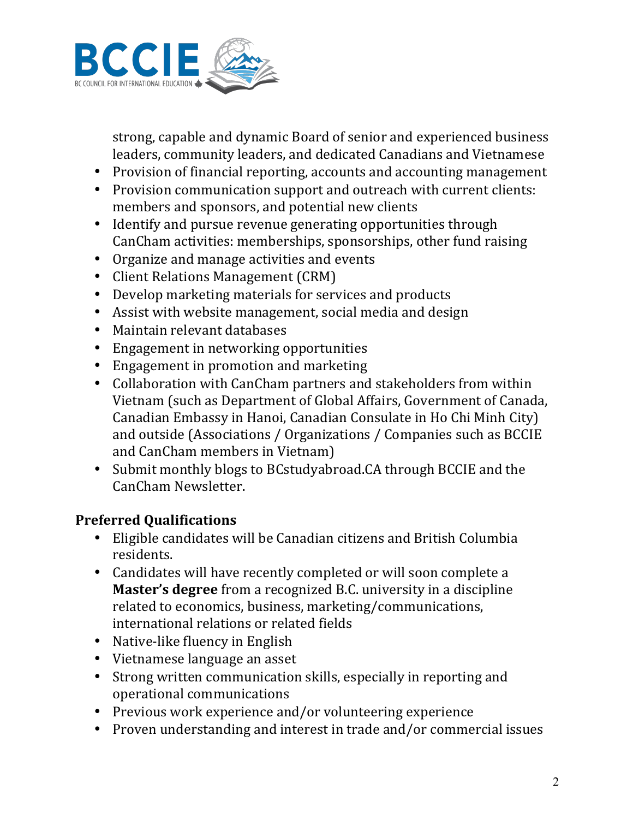

strong, capable and dynamic Board of senior and experienced business leaders, community leaders, and dedicated Canadians and Vietnamese

- Provision of financial reporting, accounts and accounting management
- Provision communication support and outreach with current clients: members and sponsors, and potential new clients
- Identify and pursue revenue generating opportunities through CanCham activities: memberships, sponsorships, other fund raising
- Organize and manage activities and events
- Client Relations Management (CRM)
- Develop marketing materials for services and products
- Assist with website management, social media and design
- Maintain relevant databases
- Engagement in networking opportunities
- Engagement in promotion and marketing
- Collaboration with CanCham partners and stakeholders from within Vietnam (such as Department of Global Affairs, Government of Canada, Canadian Embassy in Hanoi, Canadian Consulate in Ho Chi Minh City) and outside (Associations / Organizations / Companies such as BCCIE and CanCham members in Vietnam)
- Submit monthly blogs to BCstudyabroad.CA through BCCIE and the CanCham Newsletter.

## **Preferred Qualifications**

- Eligible candidates will be Canadian citizens and British Columbia residents.
- Candidates will have recently completed or will soon complete a **Master's degree** from a recognized B.C. university in a discipline related to economics, business, marketing/communications, international relations or related fields
- Native-like fluency in English
- Vietnamese language an asset
- Strong written communication skills, especially in reporting and operational communications
- Previous work experience and/or volunteering experience
- Proven understanding and interest in trade and/or commercial issues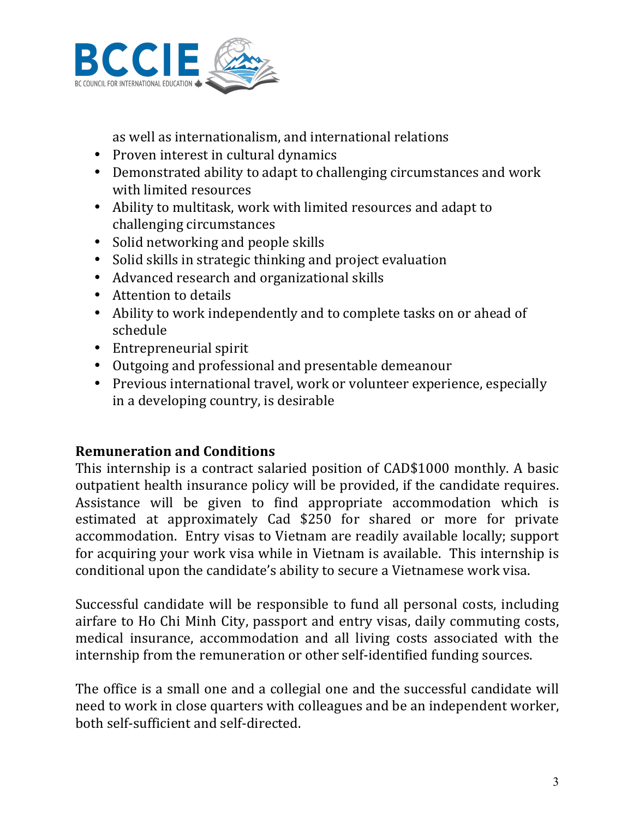

as well as internationalism, and international relations

- Proven interest in cultural dynamics
- Demonstrated ability to adapt to challenging circumstances and work with limited resources
- Ability to multitask, work with limited resources and adapt to challenging circumstances
- Solid networking and people skills
- Solid skills in strategic thinking and project evaluation
- Advanced research and organizational skills
- Attention to details
- Ability to work independently and to complete tasks on or ahead of schedule
- Entrepreneurial spirit
- Outgoing and professional and presentable demeanour
- Previous international travel, work or volunteer experience, especially in a developing country, is desirable

## **Remuneration and Conditions**

This internship is a contract salaried position of CAD\$1000 monthly. A basic outpatient health insurance policy will be provided, if the candidate requires. Assistance will be given to find appropriate accommodation which is estimated at approximately Cad \$250 for shared or more for private accommodation. Entry visas to Vietnam are readily available locally; support for acquiring your work visa while in Vietnam is available. This internship is conditional upon the candidate's ability to secure a Vietnamese work visa.

Successful candidate will be responsible to fund all personal costs, including airfare to Ho Chi Minh City, passport and entry visas, daily commuting costs, medical insurance, accommodation and all living costs associated with the internship from the remuneration or other self-identified funding sources.

The office is a small one and a collegial one and the successful candidate will need to work in close quarters with colleagues and be an independent worker, both self-sufficient and self-directed.